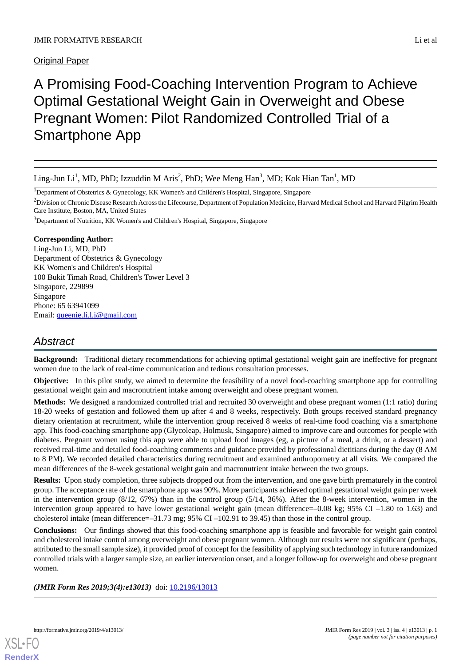Original Paper

# A Promising Food-Coaching Intervention Program to Achieve Optimal Gestational Weight Gain in Overweight and Obese Pregnant Women: Pilot Randomized Controlled Trial of a Smartphone App

<sup>1</sup>Department of Obstetrics & Gynecology, KK Women's and Children's Hospital, Singapore, Singapore

<sup>2</sup>Division of Chronic Disease Research Across the Lifecourse, Department of Population Medicine, Harvard Medical School and Harvard Pilgrim Health Care Institute, Boston, MA, United States

<sup>3</sup>Department of Nutrition, KK Women's and Children's Hospital, Singapore, Singapore

# **Corresponding Author:**

Ling-Jun Li, MD, PhD Department of Obstetrics & Gynecology KK Women's and Children's Hospital 100 Bukit Timah Road, Children's Tower Level 3 Singapore, 229899 Singapore Phone: 65 63941099 Email: [queenie.li.l.j@gmail.com](mailto:queenie.li.l.j@gmail.com)

# *Abstract*

**Background:** Traditional dietary recommendations for achieving optimal gestational weight gain are ineffective for pregnant women due to the lack of real-time communication and tedious consultation processes.

**Objective:** In this pilot study, we aimed to determine the feasibility of a novel food-coaching smartphone app for controlling gestational weight gain and macronutrient intake among overweight and obese pregnant women.

**Methods:** We designed a randomized controlled trial and recruited 30 overweight and obese pregnant women (1:1 ratio) during 18-20 weeks of gestation and followed them up after 4 and 8 weeks, respectively. Both groups received standard pregnancy dietary orientation at recruitment, while the intervention group received 8 weeks of real-time food coaching via a smartphone app. This food-coaching smartphone app (Glycoleap, Holmusk, Singapore) aimed to improve care and outcomes for people with diabetes. Pregnant women using this app were able to upload food images (eg, a picture of a meal, a drink, or a dessert) and received real-time and detailed food-coaching comments and guidance provided by professional dietitians during the day (8 AM to 8 PM). We recorded detailed characteristics during recruitment and examined anthropometry at all visits. We compared the mean differences of the 8-week gestational weight gain and macronutrient intake between the two groups.

**Results:** Upon study completion, three subjects dropped out from the intervention, and one gave birth prematurely in the control group. The acceptance rate of the smartphone app was 90%. More participants achieved optimal gestational weight gain per week in the intervention group (8/12, 67%) than in the control group (5/14, 36%). After the 8-week intervention, women in the intervention group appeared to have lower gestational weight gain (mean difference=–0.08 kg; 95% CI –1.80 to 1.63) and cholesterol intake (mean difference=–31.73 mg; 95% CI –102.91 to 39.45) than those in the control group.

**Conclusions:** Our findings showed that this food-coaching smartphone app is feasible and favorable for weight gain control and cholesterol intake control among overweight and obese pregnant women. Although our results were not significant (perhaps, attributed to the small sample size), it provided proof of concept for the feasibility of applying such technology in future randomized controlled trials with a larger sample size, an earlier intervention onset, and a longer follow-up for overweight and obese pregnant women.

*(JMIR Form Res 2019;3(4):e13013)* doi: [10.2196/13013](http://dx.doi.org/10.2196/13013)

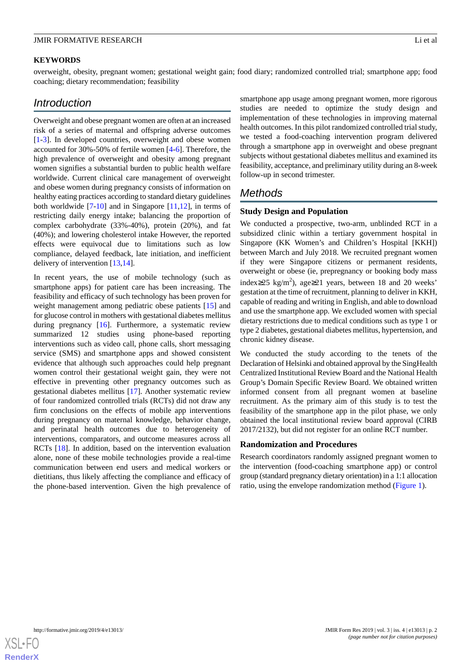#### **KEYWORDS**

overweight, obesity, pregnant women; gestational weight gain; food diary; randomized controlled trial; smartphone app; food coaching; dietary recommendation; feasibility

# *Introduction*

Overweight and obese pregnant women are often at an increased risk of a series of maternal and offspring adverse outcomes [[1](#page-7-0)[-3](#page-7-1)]. In developed countries, overweight and obese women accounted for 30%-50% of fertile women [[4-](#page-7-2)[6\]](#page-7-3). Therefore, the high prevalence of overweight and obesity among pregnant women signifies a substantial burden to public health welfare worldwide. Current clinical care management of overweight and obese women during pregnancy consists of information on healthy eating practices according to standard dietary guidelines both worldwide [\[7](#page-7-4)-[10\]](#page-8-0) and in Singapore [[11,](#page-8-1)[12](#page-8-2)], in terms of restricting daily energy intake; balancing the proportion of complex carbohydrate (33%-40%), protein (20%), and fat (40%); and lowering cholesterol intake However, the reported effects were equivocal due to limitations such as low compliance, delayed feedback, late initiation, and inefficient delivery of intervention [\[13](#page-8-3),[14\]](#page-8-4).

In recent years, the use of mobile technology (such as smartphone apps) for patient care has been increasing. The feasibility and efficacy of such technology has been proven for weight management among pediatric obese patients [\[15](#page-8-5)] and for glucose control in mothers with gestational diabetes mellitus during pregnancy [[16\]](#page-8-6). Furthermore, a systematic review summarized 12 studies using phone**-**based reporting interventions such as video call, phone calls, short messaging service (SMS) and smartphone apps and showed consistent evidence that although such approaches could help pregnant women control their gestational weight gain, they were not effective in preventing other pregnancy outcomes such as gestational diabetes mellitus [\[17](#page-8-7)]. Another systematic review of four randomized controlled trials (RCTs) did not draw any firm conclusions on the effects of mobile app interventions during pregnancy on maternal knowledge, behavior change, and perinatal health outcomes due to heterogeneity of interventions, comparators, and outcome measures across all RCTs [[18\]](#page-8-8). In addition, based on the intervention evaluation alone, none of these mobile technologies provide a real-time communication between end users and medical workers or dietitians, thus likely affecting the compliance and efficacy of the phone-based intervention. Given the high prevalence of

smartphone app usage among pregnant women, more rigorous studies are needed to optimize the study design and implementation of these technologies in improving maternal health outcomes. In this pilot randomized controlled trial study, we tested a food-coaching intervention program delivered through a smartphone app in overweight and obese pregnant subjects without gestational diabetes mellitus and examined its feasibility, acceptance, and preliminary utility during an 8-week follow-up in second trimester.

# *Methods*

#### **Study Design and Population**

We conducted a prospective, two-arm, unblinded RCT in a subsidized clinic within a tertiary government hospital in Singapore (KK Women's and Children's Hospital [KKH]) between March and July 2018. We recruited pregnant women if they were Singapore citizens or permanent residents, overweight or obese (ie, prepregnancy or booking body mass index≥25 kg/m<sup>2</sup>), age≥21 years, between 18 and 20 weeks' gestation at the time of recruitment, planning to deliver in KKH, capable of reading and writing in English, and able to download and use the smartphone app. We excluded women with special dietary restrictions due to medical conditions such as type 1 or type 2 diabetes, gestational diabetes mellitus, hypertension, and chronic kidney disease.

We conducted the study according to the tenets of the Declaration of Helsinki and obtained approval by the SingHealth Centralized Institutional Review Board and the National Health Group's Domain Specific Review Board. We obtained written informed consent from all pregnant women at baseline recruitment. As the primary aim of this study is to test the feasibility of the smartphone app in the pilot phase, we only obtained the local institutional review board approval (CIRB 2017/2132), but did not register for an online RCT number.

#### **Randomization and Procedures**

Research coordinators randomly assigned pregnant women to the intervention (food-coaching smartphone app) or control group (standard pregnancy dietary orientation) in a 1:1 allocation ratio, using the envelope randomization method [\(Figure 1\)](#page-2-0).

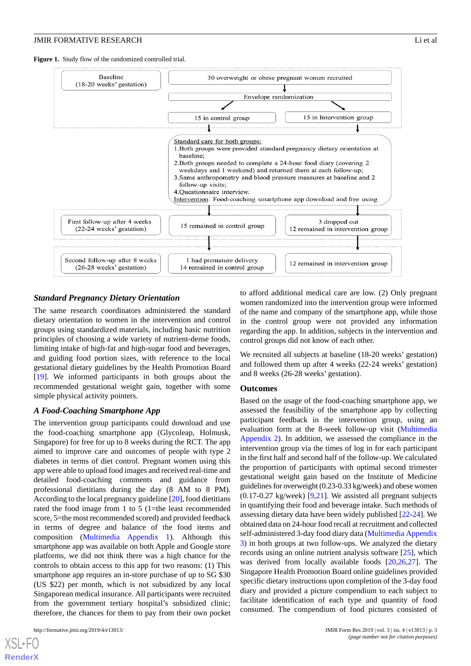#### **JMIR FORMATIVE RESEARCH** Li et al. **Li et al.** Li et al.

<span id="page-2-0"></span>**Figure 1.** Study flow of the randomized controlled trial.



#### *Standard Pregnancy Dietary Orientation*

The same research coordinators administered the standard dietary orientation to women in the intervention and control groups using standardized materials, including basic nutrition principles of choosing a wide variety of nutrient-dense foods, limiting intake of high-fat and high-sugar food and beverages, and guiding food portion sizes, with reference to the local gestational dietary guidelines by the Health Promotion Board [[19\]](#page-8-9). We informed participants in both groups about the recommended gestational weight gain, together with some simple physical activity pointers.

#### *A Food-Coaching Smartphone App*

The intervention group participants could download and use the food-coaching smartphone app (Glycoleap, Holmusk, Singapore) for free for up to 8 weeks during the RCT. The app aimed to improve care and outcomes of people with type 2 diabetes in terms of diet control. Pregnant women using this app were able to upload food images and received real-time and detailed food-coaching comments and guidance from professional dietitians during the day (8 AM to 8 PM). According to the local pregnancy guideline [\[20](#page-8-10)], food dietitians rated the food image from 1 to 5 (1=the least recommended score, 5=the most recommended scored) and provided feedback in terms of degree and balance of the food items and composition ([Multimedia Appendix 1\)](#page-7-5). Although this smartphone app was available on both Apple and Google store platforms, we did not think there was a high chance for the controls to obtain access to this app for two reasons: (1) This smartphone app requires an in-store purchase of up to SG \$30 (US \$22) per month, which is not subsidized by any local Singaporean medical insurance. All participants were recruited from the government tertiary hospital's subsidized clinic; therefore, the chances for them to pay from their own pocket

[XSL](http://www.w3.org/Style/XSL)•FO **[RenderX](http://www.renderx.com/)**

to afford additional medical care are low. (2) Only pregnant women randomized into the intervention group were informed of the name and company of the smartphone app, while those in the control group were not provided any information regarding the app. In addition, subjects in the intervention and control groups did not know of each other.

We recruited all subjects at baseline (18-20 weeks' gestation) and followed them up after 4 weeks (22-24 weeks' gestation) and 8 weeks (26-28 weeks' gestation).

#### **Outcomes**

Based on the usage of the food-coaching smartphone app, we assessed the feasibility of the smartphone app by collecting participant feedback in the intervention group, using an evaluation form at the 8-week follow-up visit [\(Multimedia](#page-7-6) [Appendix 2\)](#page-7-6). In addition, we assessed the compliance in the intervention group via the times of log in for each participant in the first half and second half of the follow-up. We calculated the proportion of participants with optimal second trimester gestational weight gain based on the Institute of Medicine guidelines for overweight (0.23-0.33 kg/week) and obese women  $(0.17-0.27 \text{ kg/week})$  [\[9](#page-8-11),[21\]](#page-8-12). We assisted all pregnant subjects in quantifying their food and beverage intake. Such methods of assessing dietary data have been widely published [\[22](#page-8-13)-[24\]](#page-8-14). We obtained data on 24-hour food recall at recruitment and collected self-administered 3-day food diary data ([Multimedia Appendix](#page-7-7) [3\)](#page-7-7) in both groups at two follow-ups. We analyzed the dietary records using an online nutrient analysis software [[25\]](#page-8-15), which was derived from locally available foods [[20,](#page-8-10)[26](#page-8-16),[27\]](#page-8-17). The Singapore Health Promotion Board online guidelines provided specific dietary instructions upon completion of the 3-day food diary and provided a picture compendium to each subject to facilitate identification of each type and quantity of food consumed. The compendium of food pictures consisted of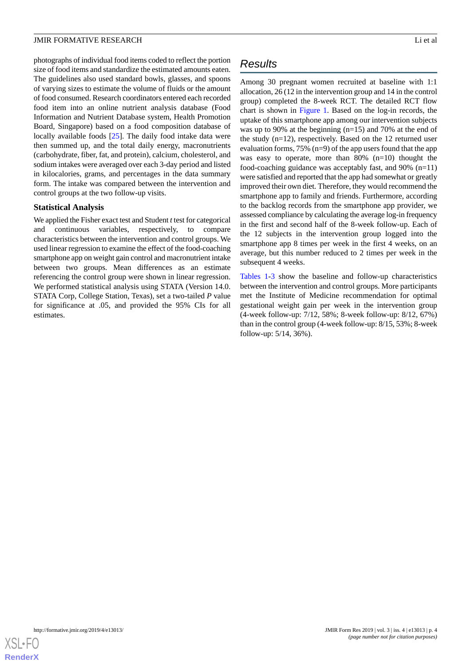photographs of individual food items coded to reflect the portion size of food items and standardize the estimated amounts eaten. The guidelines also used standard bowls, glasses, and spoons of varying sizes to estimate the volume of fluids or the amount of food consumed. Research coordinators entered each recorded food item into an online nutrient analysis database (Food Information and Nutrient Database system, Health Promotion Board, Singapore) based on a food composition database of locally available foods [\[25](#page-8-15)]. The daily food intake data were then summed up, and the total daily energy, macronutrients (carbohydrate, fiber, fat, and protein), calcium, cholesterol, and sodium intakes were averaged over each 3-day period and listed in kilocalories, grams, and percentages in the data summary form. The intake was compared between the intervention and control groups at the two follow-up visits.

#### **Statistical Analysis**

We applied the Fisher exact test and Student *t* test for categorical and continuous variables, respectively, to compare characteristics between the intervention and control groups. We used linear regression to examine the effect of the food-coaching smartphone app on weight gain control and macronutrient intake between two groups. Mean differences as an estimate referencing the control group were shown in linear regression. We performed statistical analysis using STATA (Version 14.0. STATA Corp, College Station, Texas), set a two-tailed *P* value for significance at .05, and provided the 95% CIs for all estimates.

# *Results*

Among 30 pregnant women recruited at baseline with 1:1 allocation, 26 (12 in the intervention group and 14 in the control group) completed the 8-week RCT. The detailed RCT flow chart is shown in [Figure 1.](#page-2-0) Based on the log-in records, the uptake of this smartphone app among our intervention subjects was up to 90% at the beginning (n=15) and 70% at the end of the study (n=12), respectively. Based on the 12 returned user evaluation forms, 75% (n=9) of the app users found that the app was easy to operate, more than 80% (n=10) thought the food-coaching guidance was acceptably fast, and 90% (n=11) were satisfied and reported that the app had somewhat or greatly improved their own diet*.* Therefore, they would recommend the smartphone app to family and friends. Furthermore, according to the backlog records from the smartphone app provider, we assessed compliance by calculating the average log-in frequency in the first and second half of the 8-week follow-up. Each of the 12 subjects in the intervention group logged into the smartphone app 8 times per week in the first 4 weeks, on an average, but this number reduced to 2 times per week in the subsequent 4 weeks.

[Tables 1](#page-4-0)-[3](#page-5-0) show the baseline and follow-up characteristics between the intervention and control groups. More participants met the Institute of Medicine recommendation for optimal gestational weight gain per week in the intervention group (4-week follow-up: 7/12, 58%; 8-week follow-up: 8/12, 67%) than in the control group (4-week follow-up: 8/15, 53%; 8-week follow-up: 5/14, 36%).

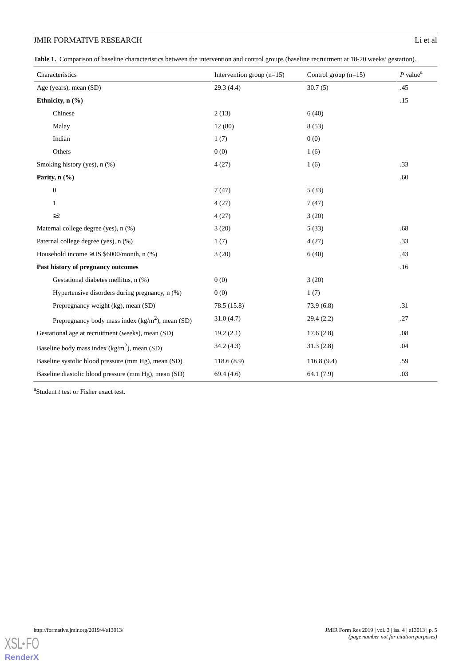<span id="page-4-0"></span>**Table 1.** Comparison of baseline characteristics between the intervention and control groups (baseline recruitment at 18-20 weeks' gestation).

| Characteristics                                      | Intervention group $(n=15)$ | Control group $(n=15)$ | $P$ value <sup>a</sup> |
|------------------------------------------------------|-----------------------------|------------------------|------------------------|
| Age (years), mean (SD)                               | 29.3(4.4)                   | 30.7(5)                | .45                    |
| Ethnicity, n (%)                                     |                             |                        | .15                    |
| Chinese                                              | 2(13)                       | 6(40)                  |                        |
| Malay                                                | 12(80)                      | 8(53)                  |                        |
| Indian                                               | 1(7)                        | 0(0)                   |                        |
| Others                                               | 0(0)                        | 1(6)                   |                        |
| Smoking history (yes), n (%)                         | 4(27)                       | 1(6)                   | .33                    |
| Parity, n (%)                                        |                             |                        | .60                    |
| $\boldsymbol{0}$                                     | 7(47)                       | 5(33)                  |                        |
| 1                                                    | 4(27)                       | 7(47)                  |                        |
| $\geq$ 2                                             | 4(27)                       | 3(20)                  |                        |
| Maternal college degree (yes), n (%)                 | 3(20)                       | 5(33)                  | .68                    |
| Paternal college degree (yes), n (%)                 | 1(7)                        | 4(27)                  | .33                    |
| Household income $\geq$ US \$6000/month, n (%)       | 3(20)                       | 6(40)                  | .43                    |
| Past history of pregnancy outcomes                   |                             |                        | .16                    |
| Gestational diabetes mellitus, n (%)                 | 0(0)                        | 3(20)                  |                        |
| Hypertensive disorders during pregnancy, n (%)       | 0(0)                        | 1(7)                   |                        |
| Prepregnancy weight (kg), mean (SD)                  | 78.5 (15.8)                 | 73.9(6.8)              | .31                    |
| Prepregnancy body mass index $(kg/m^2)$ , mean (SD)  | 31.0(4.7)                   | 29.4(2.2)              | .27                    |
| Gestational age at recruitment (weeks), mean (SD)    | 19.2(2.1)                   | 17.6(2.8)              | .08                    |
| Baseline body mass index $(kg/m^2)$ , mean (SD)      | 34.2(4.3)                   | 31.3(2.8)              | .04                    |
| Baseline systolic blood pressure (mm Hg), mean (SD)  | 118.6(8.9)                  | 116.8(9.4)             | .59                    |
| Baseline diastolic blood pressure (mm Hg), mean (SD) | 69.4(4.6)                   | 64.1 (7.9)             | .03                    |

a Student *t* test or Fisher exact test.

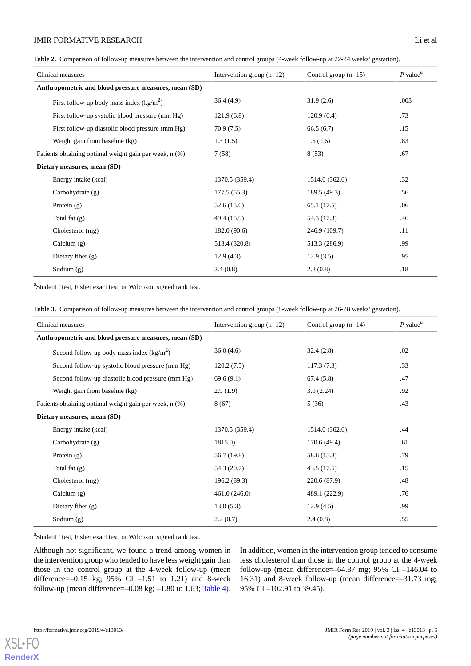**Table 2.** Comparison of follow-up measures between the intervention and control groups (4-week follow-up at 22-24 weeks' gestation).

| Clinical measures                                      | Intervention group $(n=12)$ | Control group $(n=15)$ | $P$ value <sup>a</sup> |
|--------------------------------------------------------|-----------------------------|------------------------|------------------------|
| Anthropometric and blood pressure measures, mean (SD)  |                             |                        |                        |
| First follow-up body mass index $(kg/m^2)$             | 36.4(4.9)                   | 31.9(2.6)              | .003                   |
| First follow-up systolic blood pressure (mm Hg)        | 121.9(6.8)                  | 120.9(6.4)             | .73                    |
| First follow-up diastolic blood pressure (mm Hg)       | 70.9(7.5)                   | 66.5(6.7)              | .15                    |
| Weight gain from baseline (kg)                         | 1.3(1.5)                    | 1.5(1.6)               | .83                    |
| Patients obtaining optimal weight gain per week, n (%) | 7(58)                       | 8(53)                  | .67                    |
| Dietary measures, mean (SD)                            |                             |                        |                        |
| Energy intake (kcal)                                   | 1370.5 (359.4)              | 1514.0 (362.6)         | .32                    |
| Carbohydrate $(g)$                                     | 177.5(55.3)                 | 189.5 (49.3)           | .56                    |
| Protein $(g)$                                          | 52.6(15.0)                  | 65.1(17.5)             | .06                    |
| Total fat $(g)$                                        | 49.4 (15.9)                 | 54.3 (17.3)            | .46                    |
| Cholesterol (mg)                                       | 182.0(90.6)                 | 246.9 (109.7)          | .11                    |
| Calcium $(g)$                                          | 513.4 (320.8)               | 513.3 (286.9)          | .99                    |
| Dietary fiber $(g)$                                    | 12.9(4.3)                   | 12.9(3.5)              | .95                    |
| Sodium $(g)$                                           | 2.4(0.8)                    | 2.8(0.8)               | .18                    |

<span id="page-5-0"></span>a Student *t* test, Fisher exact test, or Wilcoxon signed rank test.

|  | Table 3. Comparison of follow-up measures between the intervention and control groups (8-week follow-up at 26-28 weeks' gestation). |  |  |
|--|-------------------------------------------------------------------------------------------------------------------------------------|--|--|
|  |                                                                                                                                     |  |  |

| Clinical measures                                      | Intervention group $(n=12)$ | Control group $(n=14)$ | $P$ value <sup>a</sup> |
|--------------------------------------------------------|-----------------------------|------------------------|------------------------|
| Anthropometric and blood pressure measures, mean (SD)  |                             |                        |                        |
| Second follow-up body mass index $(kg/m^2)$            | 36.0(4.6)                   | 32.4(2.8)              | .02                    |
| Second follow-up systolic blood pressure (mm Hg)       | 120.2(7.5)                  | 117.3(7.3)             | .33                    |
| Second follow-up diastolic blood pressure (mm Hg)      | 69.6(9.1)                   | 67.4(5.8)              | .47                    |
| Weight gain from baseline (kg)                         | 2.9(1.9)                    | 3.0(2.24)              | .92                    |
| Patients obtaining optimal weight gain per week, n (%) | 8(67)                       | 5(36)                  | .43                    |
| Dietary measures, mean (SD)                            |                             |                        |                        |
| Energy intake (kcal)                                   | 1370.5 (359.4)              | 1514.0 (362.6)         | .44                    |
| Carbohydrate $(g)$                                     | 1815.0)                     | 170.6(49.4)            | .61                    |
| Protein $(g)$                                          | 56.7 (19.8)                 | 58.6 (15.8)            | .79                    |
| Total fat $(g)$                                        | 54.3 (20.7)                 | 43.5(17.5)             | .15                    |
| Cholesterol (mg)                                       | 196.2 (89.3)                | 220.6 (87.9)           | .48                    |
| Calcium $(g)$                                          | 461.0(246.0)                | 489.1 (222.9)          | .76                    |
| Dietary fiber $(g)$                                    | 13.0(5.3)                   | 12.9(4.5)              | .99                    |
| Sodium $(g)$                                           | 2.2(0.7)                    | 2.4(0.8)               | .55                    |

a Student *t* test, Fisher exact test, or Wilcoxon signed rank test.

Although not significant, we found a trend among women in the intervention group who tended to have less weight gain than those in the control group at the 4-week follow-up (mean difference=–0.15 kg; 95% CI –1.51 to 1.21) and 8-week follow-up (mean difference=–0.08 kg; –1.80 to 1.63; [Table 4\)](#page-6-0). In addition, women in the intervention group tended to consume less cholesterol than those in the control group at the 4-week follow-up (mean difference= $-64.87$  mg; 95% CI  $-146.04$  to 16.31) and 8-week follow-up (mean difference=–31.73 mg; 95% CI –102.91 to 39.45).

[XSL](http://www.w3.org/Style/XSL)•FO **[RenderX](http://www.renderx.com/)**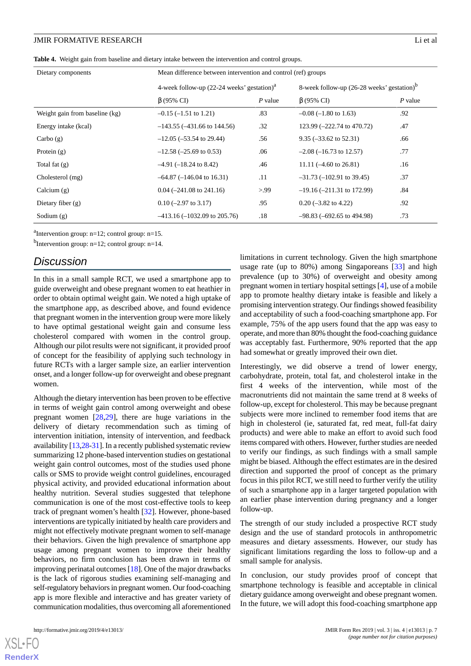<span id="page-6-0"></span>**Table 4.** Weight gain from baseline and dietary intake between the intervention and control groups.

| Dietary components             | Mean difference between intervention and control (ref) groups |         |                                                        |           |
|--------------------------------|---------------------------------------------------------------|---------|--------------------------------------------------------|-----------|
|                                | 4-week follow-up $(22-24$ weeks' gestation) <sup>a</sup>      |         | 8-week follow-up (26-28 weeks' gestation) <sup>b</sup> |           |
|                                | $\beta$ (95% CI)                                              | P value | $\beta$ (95% CI)                                       | $P$ value |
| Weight gain from baseline (kg) | $-0.15$ ( $-1.51$ to 1.21)                                    | .83     | $-0.08$ ( $-1.80$ to 1.63)                             | .92       |
| Energy intake (kcal)           | $-143.55$ ( $-431.66$ to 144.56)                              | .32     | 123.99 (-222.74 to 470.72)                             | .47       |
| Carbo(g)                       | $-12.05$ ( $-53.54$ to 29.44)                                 | .56     | $9.35 (-33.62 \text{ to } 52.31)$                      | .66       |
| Protein $(g)$                  | $-12.58$ ( $-25.69$ to 0.53)                                  | .06     | $-2.08$ ( $-16.73$ to 12.57)                           | .77       |
| Total fat $(g)$                | $-4.91$ ( $-18.24$ to 8.42)                                   | .46     | 11.11 $(-4.60 \text{ to } 26.81)$                      | .16       |
| Cholesterol (mg)               | $-64.87$ ( $-146.04$ to 16.31)                                | .11     | $-31.73$ ( $-102.91$ to 39.45)                         | .37       |
| Calcium $(g)$                  | $0.04$ (-241.08 to 241.16)                                    | > 99    | $-19.16$ ( $-211.31$ to 172.99)                        | .84       |
| Dietary fiber $(g)$            | $0.10$ (-2.97 to 3.17)                                        | .95     | $0.20$ (-3.82 to 4.22)                                 | .92       |
| Sodium $(g)$                   | $-413.16 (-1032.09$ to 205.76)                                | .18     | $-98.83$ ( $-692.65$ to 494.98)                        | .73       |

<sup>a</sup>Intervention group:  $n=12$ ; control group:  $n=15$ .

 $<sup>b</sup>$ Intervention group: n=12; control group: n=14.</sup>

# *Discussion*

In this in a small sample RCT, we used a smartphone app to guide overweight and obese pregnant women to eat heathier in order to obtain optimal weight gain. We noted a high uptake of the smartphone app, as described above, and found evidence that pregnant women in the intervention group were more likely to have optimal gestational weight gain and consume less cholesterol compared with women in the control group. Although our pilot results were not significant, it provided proof of concept for the feasibility of applying such technology in future RCTs with a larger sample size, an earlier intervention onset, and a longer follow-up for overweight and obese pregnant women.

Although the dietary intervention has been proven to be effective in terms of weight gain control among overweight and obese pregnant women [[28,](#page-8-18)[29](#page-8-19)], there are huge variations in the delivery of dietary recommendation such as timing of intervention initiation, intensity of intervention, and feedback availability [[13,](#page-8-3)[28-](#page-8-18)[31\]](#page-9-0). In a recently published systematic review summarizing 12 phone-based intervention studies on gestational weight gain control outcomes, most of the studies used phone calls or SMS to provide weight control guidelines, encouraged physical activity, and provided educational information about healthy nutrition. Several studies suggested that telephone communication is one of the most cost-effective tools to keep track of pregnant women's health [\[32](#page-9-1)]. However, phone-based interventions are typically initiated by health care providers and might not effectively motivate pregnant women to self-manage their behaviors. Given the high prevalence of smartphone app usage among pregnant women to improve their healthy behaviors, no firm conclusion has been drawn in terms of improving perinatal outcomes [[18\]](#page-8-8). One of the major drawbacks is the lack of rigorous studies examining self-managing and self-regulatory behaviors in pregnant women. Our food-coaching app is more flexible and interactive and has greater variety of communication modalities, thus overcoming all aforementioned

usage rate (up to 80%) among Singaporeans [[33\]](#page-9-2) and high prevalence (up to 30%) of overweight and obesity among pregnant women in tertiary hospital settings [[4\]](#page-7-2), use of a mobile app to promote healthy dietary intake is feasible and likely a promising intervention strategy. Our findings showed feasibility and acceptability of such a food-coaching smartphone app. For example, 75% of the app users found that the app was easy to operate, and more than 80% thought the food-coaching guidance was acceptably fast. Furthermore, 90% reported that the app had somewhat or greatly improved their own diet*.*

limitations in current technology. Given the high smartphone

Interestingly, we did observe a trend of lower energy, carbohydrate, protein, total fat, and cholesterol intake in the first 4 weeks of the intervention, while most of the macronutrients did not maintain the same trend at 8 weeks of follow-up, except for cholesterol. This may be because pregnant subjects were more inclined to remember food items that are high in cholesterol (ie, saturated fat, red meat, full-fat dairy products) and were able to make an effort to avoid such food items compared with others. However, further studies are needed to verify our findings, as such findings with a small sample might be biased. Although the effect estimates are in the desired direction and supported the proof of concept as the primary focus in this pilot RCT, we still need to further verify the utility of such a smartphone app in a larger targeted population with an earlier phase intervention during pregnancy and a longer follow-up.

The strength of our study included a prospective RCT study design and the use of standard protocols in anthropometric measures and dietary assessments. However, our study has significant limitations regarding the loss to follow-up and a small sample for analysis.

In conclusion, our study provides proof of concept that smartphone technology is feasible and acceptable in clinical dietary guidance among overweight and obese pregnant women. In the future, we will adopt this food-coaching smartphone app

 $XS$  • FO **[RenderX](http://www.renderx.com/)**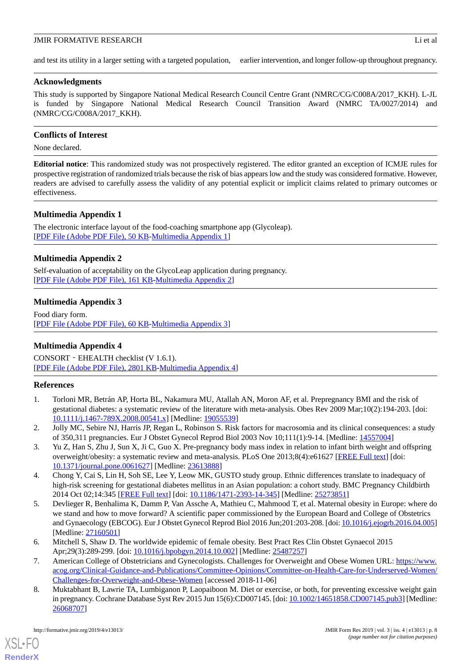#### **JMIR FORMATIVE RESEARCH** Li et al. **Li et al.** Li et al.

and test its utility in a larger setting with a targeted population, earlier intervention, and longer follow-up throughout pregnancy.

## **Acknowledgments**

This study is supported by Singapore National Medical Research Council Centre Grant (NMRC/CG/C008A/2017\_KKH). L-JL is funded by Singapore National Medical Research Council Transition Award (NMRC TA/0027/2014) and (NMRC/CG/C008A/2017\_KKH).

# **Conflicts of Interest**

None declared.

**Editorial notice**: This randomized study was not prospectively registered. The editor granted an exception of ICMJE rules for prospective registration of randomized trials because the risk of bias appears low and the study was considered formative. However, readers are advised to carefully assess the validity of any potential explicit or implicit claims related to primary outcomes or effectiveness.

# <span id="page-7-5"></span>**Multimedia Appendix 1**

<span id="page-7-6"></span>The electronic interface layout of the food-coaching smartphone app (Glycoleap). [[PDF File \(Adobe PDF File\), 50 KB](https://jmir.org/api/download?alt_name=formative_v3i4e13013_app1.pdf&filename=855ae5f5bf2b9034ec09b720a6e40748.pdf)-[Multimedia Appendix 1\]](https://jmir.org/api/download?alt_name=formative_v3i4e13013_app1.pdf&filename=855ae5f5bf2b9034ec09b720a6e40748.pdf)

# **Multimedia Appendix 2**

<span id="page-7-7"></span>Self-evaluation of acceptability on the GlycoLeap application during pregnancy. [[PDF File \(Adobe PDF File\), 161 KB](https://jmir.org/api/download?alt_name=formative_v3i4e13013_app2.pdf&filename=1b8c674656742cf724fe588459479865.pdf)-[Multimedia Appendix 2\]](https://jmir.org/api/download?alt_name=formative_v3i4e13013_app2.pdf&filename=1b8c674656742cf724fe588459479865.pdf)

# **Multimedia Appendix 3**

Food diary form. [[PDF File \(Adobe PDF File\), 60 KB](https://jmir.org/api/download?alt_name=formative_v3i4e13013_app3.pdf&filename=76ef20c1e692f0bbf0e2afe9e822508a.pdf)-[Multimedia Appendix 3\]](https://jmir.org/api/download?alt_name=formative_v3i4e13013_app3.pdf&filename=76ef20c1e692f0bbf0e2afe9e822508a.pdf)

# **Multimedia Appendix 4**

<span id="page-7-0"></span>CONSORT‐EHEALTH checklist (V 1.6.1). [[PDF File \(Adobe PDF File\), 2801 KB](https://jmir.org/api/download?alt_name=formative_v3i4e13013_app4.pdf&filename=fb723dcc8850b1e5b8e2b7321ee49090.pdf)-[Multimedia Appendix 4\]](https://jmir.org/api/download?alt_name=formative_v3i4e13013_app4.pdf&filename=fb723dcc8850b1e5b8e2b7321ee49090.pdf)

## **References**

- <span id="page-7-1"></span>1. Torloni MR, Betrán AP, Horta BL, Nakamura MU, Atallah AN, Moron AF, et al. Prepregnancy BMI and the risk of gestational diabetes: a systematic review of the literature with meta-analysis. Obes Rev 2009 Mar;10(2):194-203. [doi: [10.1111/j.1467-789X.2008.00541.x](http://dx.doi.org/10.1111/j.1467-789X.2008.00541.x)] [Medline: [19055539\]](http://www.ncbi.nlm.nih.gov/entrez/query.fcgi?cmd=Retrieve&db=PubMed&list_uids=19055539&dopt=Abstract)
- <span id="page-7-2"></span>2. Jolly MC, Sebire NJ, Harris JP, Regan L, Robinson S. Risk factors for macrosomia and its clinical consequences: a study of 350,311 pregnancies. Eur J Obstet Gynecol Reprod Biol 2003 Nov 10;111(1):9-14. [Medline: [14557004](http://www.ncbi.nlm.nih.gov/entrez/query.fcgi?cmd=Retrieve&db=PubMed&list_uids=14557004&dopt=Abstract)]
- 3. Yu Z, Han S, Zhu J, Sun X, Ji C, Guo X. Pre-pregnancy body mass index in relation to infant birth weight and offspring overweight/obesity: a systematic review and meta-analysis. PLoS One 2013;8(4):e61627 [\[FREE Full text\]](http://dx.plos.org/10.1371/journal.pone.0061627) [doi: [10.1371/journal.pone.0061627\]](http://dx.doi.org/10.1371/journal.pone.0061627) [Medline: [23613888](http://www.ncbi.nlm.nih.gov/entrez/query.fcgi?cmd=Retrieve&db=PubMed&list_uids=23613888&dopt=Abstract)]
- <span id="page-7-3"></span>4. Chong Y, Cai S, Lin H, Soh SE, Lee Y, Leow MK, GUSTO study group. Ethnic differences translate to inadequacy of high-risk screening for gestational diabetes mellitus in an Asian population: a cohort study. BMC Pregnancy Childbirth 2014 Oct 02;14:345 [\[FREE Full text\]](https://bmcpregnancychildbirth.biomedcentral.com/articles/10.1186/1471-2393-14-345) [doi: [10.1186/1471-2393-14-345](http://dx.doi.org/10.1186/1471-2393-14-345)] [Medline: [25273851](http://www.ncbi.nlm.nih.gov/entrez/query.fcgi?cmd=Retrieve&db=PubMed&list_uids=25273851&dopt=Abstract)]
- <span id="page-7-4"></span>5. Devlieger R, Benhalima K, Damm P, Van Assche A, Mathieu C, Mahmood T, et al. Maternal obesity in Europe: where do we stand and how to move forward? A scientific paper commissioned by the European Board and College of Obstetrics and Gynaecology (EBCOG). Eur J Obstet Gynecol Reprod Biol 2016 Jun;201:203-208. [doi: [10.1016/j.ejogrb.2016.04.005](http://dx.doi.org/10.1016/j.ejogrb.2016.04.005)] [Medline: [27160501](http://www.ncbi.nlm.nih.gov/entrez/query.fcgi?cmd=Retrieve&db=PubMed&list_uids=27160501&dopt=Abstract)]
- 6. Mitchell S, Shaw D. The worldwide epidemic of female obesity. Best Pract Res Clin Obstet Gynaecol 2015 Apr;29(3):289-299. [doi: [10.1016/j.bpobgyn.2014.10.002](http://dx.doi.org/10.1016/j.bpobgyn.2014.10.002)] [Medline: [25487257\]](http://www.ncbi.nlm.nih.gov/entrez/query.fcgi?cmd=Retrieve&db=PubMed&list_uids=25487257&dopt=Abstract)
- 7. American College of Obstetricians and Gynecologists. Challenges for Overweight and Obese Women URL: [https://www.](https://www.acog.org/Clinical-Guidance-and-Publications/Committee-Opinions/Committee-on-Health-Care-for-Underserved-Women/Challenges-for-Overweight-and-Obese-Women) [acog.org/Clinical-Guidance-and-Publications/Committee-Opinions/Committee-on-Health-Care-for-Underserved-Women/](https://www.acog.org/Clinical-Guidance-and-Publications/Committee-Opinions/Committee-on-Health-Care-for-Underserved-Women/Challenges-for-Overweight-and-Obese-Women) [Challenges-for-Overweight-and-Obese-Women](https://www.acog.org/Clinical-Guidance-and-Publications/Committee-Opinions/Committee-on-Health-Care-for-Underserved-Women/Challenges-for-Overweight-and-Obese-Women) [accessed 2018-11-06]
- 8. Muktabhant B, Lawrie TA, Lumbiganon P, Laopaiboon M. Diet or exercise, or both, for preventing excessive weight gain in pregnancy. Cochrane Database Syst Rev 2015 Jun 15(6):CD007145. [doi: [10.1002/14651858.CD007145.pub3](http://dx.doi.org/10.1002/14651858.CD007145.pub3)] [Medline: [26068707](http://www.ncbi.nlm.nih.gov/entrez/query.fcgi?cmd=Retrieve&db=PubMed&list_uids=26068707&dopt=Abstract)]

[XSL](http://www.w3.org/Style/XSL)•FO **[RenderX](http://www.renderx.com/)**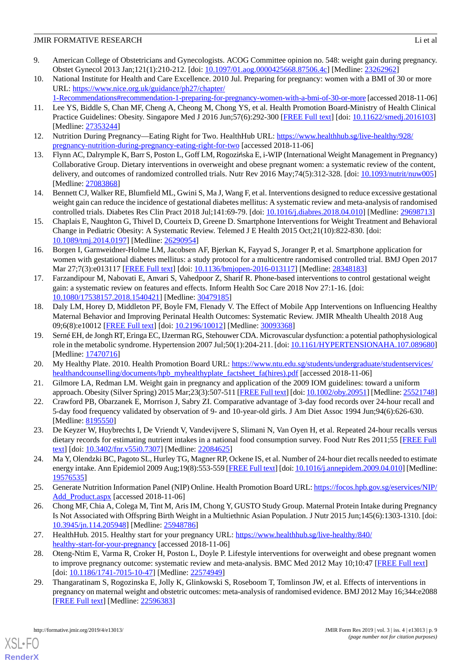- <span id="page-8-11"></span>9. American College of Obstetricians and Gynecologists. ACOG Committee opinion no. 548: weight gain during pregnancy. Obstet Gynecol 2013 Jan;121(1):210-212. [doi: [10.1097/01.aog.0000425668.87506.4c](http://dx.doi.org/10.1097/01.aog.0000425668.87506.4c)] [Medline: [23262962](http://www.ncbi.nlm.nih.gov/entrez/query.fcgi?cmd=Retrieve&db=PubMed&list_uids=23262962&dopt=Abstract)]
- <span id="page-8-0"></span>10. National Institute for Health and Care Excellence. 2010 Jul. Preparing for pregnancy: women with a BMI of 30 or more URL: [https://www.nice.org.uk/guidance/ph27/chapter/](https://www.nice.org.uk/guidance/ph27/chapter/1-Recommendations#recommendation-1-preparing-for-pregnancy-women-with-a-bmi-of-30-or-more)
- <span id="page-8-1"></span>[1-Recommendations#recommendation-1-preparing-for-pregnancy-women-with-a-bmi-of-30-or-more](https://www.nice.org.uk/guidance/ph27/chapter/1-Recommendations#recommendation-1-preparing-for-pregnancy-women-with-a-bmi-of-30-or-more) [accessed 2018-11-06] 11. Lee YS, Biddle S, Chan MF, Cheng A, Cheong M, Chong YS, et al. Health Promotion Board-Ministry of Health Clinical Practice Guidelines: Obesity. Singapore Med J 2016 Jun;57(6):292-300 [\[FREE Full text\]](https://sma.org.sg/UploadedImg/files/SMJ/5706/5706cpg1.pdf) [doi: [10.11622/smedj.2016103\]](http://dx.doi.org/10.11622/smedj.2016103)
- <span id="page-8-2"></span>[Medline: [27353244](http://www.ncbi.nlm.nih.gov/entrez/query.fcgi?cmd=Retrieve&db=PubMed&list_uids=27353244&dopt=Abstract)] 12. Nutrition During Pregnancy—Eating Right for Two. HealthHub URL: [https://www.healthhub.sg/live-healthy/928/](https://www.healthhub.sg/live-healthy/928/pregnancy-nutrition-during-pregnancy-eating-right-for-two)
- <span id="page-8-3"></span>[pregnancy-nutrition-during-pregnancy-eating-right-for-two](https://www.healthhub.sg/live-healthy/928/pregnancy-nutrition-during-pregnancy-eating-right-for-two) [accessed 2018-11-06] 13. Flynn AC, Dalrymple K, Barr S, Poston L, Goff LM, Rogozińska E, i-WIP (International Weight Management in Pregnancy) Collaborative Group. Dietary interventions in overweight and obese pregnant women: a systematic review of the content, delivery, and outcomes of randomized controlled trials. Nutr Rev 2016 May;74(5):312-328. [doi: [10.1093/nutrit/nuw005](http://dx.doi.org/10.1093/nutrit/nuw005)] [Medline: [27083868](http://www.ncbi.nlm.nih.gov/entrez/query.fcgi?cmd=Retrieve&db=PubMed&list_uids=27083868&dopt=Abstract)]
- <span id="page-8-5"></span><span id="page-8-4"></span>14. Bennett CJ, Walker RE, Blumfield ML, Gwini S, Ma J, Wang F, et al. Interventions designed to reduce excessive gestational weight gain can reduce the incidence of gestational diabetes mellitus: A systematic review and meta-analysis of randomised controlled trials. Diabetes Res Clin Pract 2018 Jul;141:69-79. [doi: [10.1016/j.diabres.2018.04.010\]](http://dx.doi.org/10.1016/j.diabres.2018.04.010) [Medline: [29698713](http://www.ncbi.nlm.nih.gov/entrez/query.fcgi?cmd=Retrieve&db=PubMed&list_uids=29698713&dopt=Abstract)]
- <span id="page-8-6"></span>15. Chaplais E, Naughton G, Thivel D, Courteix D, Greene D. Smartphone Interventions for Weight Treatment and Behavioral Change in Pediatric Obesity: A Systematic Review. Telemed J E Health 2015 Oct;21(10):822-830. [doi: [10.1089/tmj.2014.0197](http://dx.doi.org/10.1089/tmj.2014.0197)] [Medline: [26290954\]](http://www.ncbi.nlm.nih.gov/entrez/query.fcgi?cmd=Retrieve&db=PubMed&list_uids=26290954&dopt=Abstract)
- <span id="page-8-7"></span>16. Borgen I, Garnweidner-Holme LM, Jacobsen AF, Bjerkan K, Fayyad S, Joranger P, et al. Smartphone application for women with gestational diabetes mellitus: a study protocol for a multicentre randomised controlled trial. BMJ Open 2017 Mar 27;7(3):e013117 [\[FREE Full text\]](http://bmjopen.bmj.com/cgi/pmidlookup?view=long&pmid=28348183) [doi: [10.1136/bmjopen-2016-013117\]](http://dx.doi.org/10.1136/bmjopen-2016-013117) [Medline: [28348183](http://www.ncbi.nlm.nih.gov/entrez/query.fcgi?cmd=Retrieve&db=PubMed&list_uids=28348183&dopt=Abstract)]
- <span id="page-8-8"></span>17. Farzandipour M, Nabovati E, Anvari S, Vahedpoor Z, Sharif R. Phone-based interventions to control gestational weight gain: a systematic review on features and effects. Inform Health Soc Care 2018 Nov 27:1-16. [doi: [10.1080/17538157.2018.1540421\]](http://dx.doi.org/10.1080/17538157.2018.1540421) [Medline: [30479185\]](http://www.ncbi.nlm.nih.gov/entrez/query.fcgi?cmd=Retrieve&db=PubMed&list_uids=30479185&dopt=Abstract)
- <span id="page-8-9"></span>18. Daly LM, Horey D, Middleton PF, Boyle FM, Flenady V. The Effect of Mobile App Interventions on Influencing Healthy Maternal Behavior and Improving Perinatal Health Outcomes: Systematic Review. JMIR Mhealth Uhealth 2018 Aug 09;6(8):e10012 [\[FREE Full text](http://mhealth.jmir.org/2018/8/e10012/)] [doi: [10.2196/10012\]](http://dx.doi.org/10.2196/10012) [Medline: [30093368\]](http://www.ncbi.nlm.nih.gov/entrez/query.fcgi?cmd=Retrieve&db=PubMed&list_uids=30093368&dopt=Abstract)
- <span id="page-8-12"></span><span id="page-8-10"></span>19. Serné EH, de Jongh RT, Eringa EC, IJzerman RG, Stehouwer CDA. Microvascular dysfunction: a potential pathophysiological role in the metabolic syndrome. Hypertension 2007 Jul;50(1):204-211. [doi: [10.1161/HYPERTENSIONAHA.107.089680](http://dx.doi.org/10.1161/HYPERTENSIONAHA.107.089680)] [Medline: [17470716](http://www.ncbi.nlm.nih.gov/entrez/query.fcgi?cmd=Retrieve&db=PubMed&list_uids=17470716&dopt=Abstract)]
- <span id="page-8-13"></span>20. My Healthy Plate. 2010. Health Promotion Board URL: [https://www.ntu.edu.sg/students/undergraduate/studentservices/](https://www.ntu.edu.sg/students/undergraduate/studentservices/healthandcounselling/documents/hpb_myhealthyplate_factsheet_fa(hires).pdf) [healthandcounselling/documents/hpb\\_myhealthyplate\\_factsheet\\_fa\(hires\).pdf](https://www.ntu.edu.sg/students/undergraduate/studentservices/healthandcounselling/documents/hpb_myhealthyplate_factsheet_fa(hires).pdf) [accessed 2018-11-06]
- 21. Gilmore LA, Redman LM. Weight gain in pregnancy and application of the 2009 IOM guidelines: toward a uniform approach. Obesity (Silver Spring) 2015 Mar;23(3):507-511 [\[FREE Full text\]](https://doi.org/10.1002/oby.20951) [doi: [10.1002/oby.20951\]](http://dx.doi.org/10.1002/oby.20951) [Medline: [25521748\]](http://www.ncbi.nlm.nih.gov/entrez/query.fcgi?cmd=Retrieve&db=PubMed&list_uids=25521748&dopt=Abstract)
- <span id="page-8-14"></span>22. Crawford PB, Obarzanek E, Morrison J, Sabry ZI. Comparative advantage of 3-day food records over 24-hour recall and 5-day food frequency validated by observation of 9- and 10-year-old girls. J Am Diet Assoc 1994 Jun;94(6):626-630. [Medline: [8195550\]](http://www.ncbi.nlm.nih.gov/entrez/query.fcgi?cmd=Retrieve&db=PubMed&list_uids=8195550&dopt=Abstract)
- <span id="page-8-15"></span>23. De Keyzer W, Huybrechts I, De Vriendt V, Vandevijvere S, Slimani N, Van Oyen H, et al. Repeated 24-hour recalls versus dietary records for estimating nutrient intakes in a national food consumption survey. Food Nutr Res 2011;55 [[FREE Full](https://doi.org/10.3402/fnr.v55i0.7307) [text](https://doi.org/10.3402/fnr.v55i0.7307)] [doi: [10.3402/fnr.v55i0.7307\]](http://dx.doi.org/10.3402/fnr.v55i0.7307) [Medline: [22084625](http://www.ncbi.nlm.nih.gov/entrez/query.fcgi?cmd=Retrieve&db=PubMed&list_uids=22084625&dopt=Abstract)]
- <span id="page-8-16"></span>24. Ma Y, Olendzki BC, Pagoto SL, Hurley TG, Magner RP, Ockene IS, et al. Number of 24-hour diet recalls needed to estimate energy intake. Ann Epidemiol 2009 Aug;19(8):553-559 [\[FREE Full text\]](http://europepmc.org/abstract/MED/19576535) [doi: [10.1016/j.annepidem.2009.04.010\]](http://dx.doi.org/10.1016/j.annepidem.2009.04.010) [Medline: [19576535](http://www.ncbi.nlm.nih.gov/entrez/query.fcgi?cmd=Retrieve&db=PubMed&list_uids=19576535&dopt=Abstract)]
- <span id="page-8-17"></span>25. Generate Nutrition Information Panel (NIP) Online. Health Promotion Board URL: [https://focos.hpb.gov.sg/eservices/NIP/](https://focos.hpb.gov.sg/eservices/NIP/Add_Product.aspx) [Add\\_Product.aspx](https://focos.hpb.gov.sg/eservices/NIP/Add_Product.aspx) [accessed 2018-11-06]
- <span id="page-8-18"></span>26. Chong MF, Chia A, Colega M, Tint M, Aris IM, Chong Y, GUSTO Study Group. Maternal Protein Intake during Pregnancy Is Not Associated with Offspring Birth Weight in a Multiethnic Asian Population. J Nutr 2015 Jun;145(6):1303-1310. [doi: [10.3945/jn.114.205948\]](http://dx.doi.org/10.3945/jn.114.205948) [Medline: [25948786](http://www.ncbi.nlm.nih.gov/entrez/query.fcgi?cmd=Retrieve&db=PubMed&list_uids=25948786&dopt=Abstract)]
- <span id="page-8-19"></span>27. HealthHub. 2015. Healthy start for your pregnancy URL: [https://www.healthhub.sg/live-healthy/840/](https://www.healthhub.sg/live-healthy/840/healthy-start-for-your-pregnancy) [healthy-start-for-your-pregnancy](https://www.healthhub.sg/live-healthy/840/healthy-start-for-your-pregnancy) [accessed 2018-11-06]
- 28. Oteng-Ntim E, Varma R, Croker H, Poston L, Doyle P. Lifestyle interventions for overweight and obese pregnant women to improve pregnancy outcome: systematic review and meta-analysis. BMC Med 2012 May 10;10:47 [\[FREE Full text\]](https://bmcmedicine.biomedcentral.com/articles/10.1186/1741-7015-10-47) [doi: [10.1186/1741-7015-10-47](http://dx.doi.org/10.1186/1741-7015-10-47)] [Medline: [22574949\]](http://www.ncbi.nlm.nih.gov/entrez/query.fcgi?cmd=Retrieve&db=PubMed&list_uids=22574949&dopt=Abstract)
- 29. Thangaratinam S, Rogozinska E, Jolly K, Glinkowski S, Roseboom T, Tomlinson JW, et al. Effects of interventions in pregnancy on maternal weight and obstetric outcomes: meta-analysis of randomised evidence. BMJ 2012 May 16;344:e2088 [[FREE Full text](http://www.bmj.com/cgi/pmidlookup?view=long&pmid=22596383)] [Medline: [22596383](http://www.ncbi.nlm.nih.gov/entrez/query.fcgi?cmd=Retrieve&db=PubMed&list_uids=22596383&dopt=Abstract)]

[XSL](http://www.w3.org/Style/XSL)•FO **[RenderX](http://www.renderx.com/)**